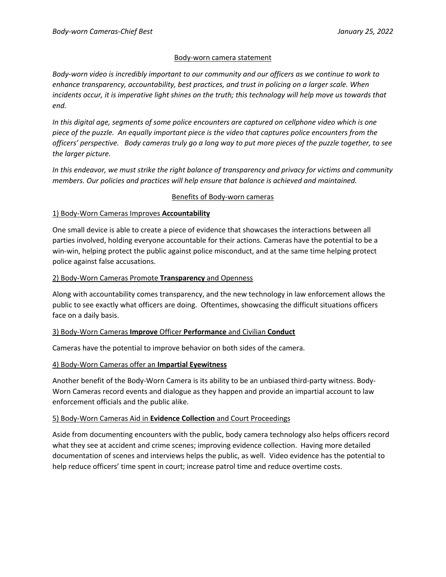## Body-worn camera statement

*Body-worn video is incredibly important to our community and our officers as we continue to work to enhance transparency, accountability, best practices, and trust in policing on a larger scale. When incidents occur, it is imperative light shines on the truth; this technology will help move us towards that end.* 

*In this digital age, segments of some police encounters are captured on cellphone video which is one piece of the puzzle. An equally important piece is the video that captures police encounters from the officers' perspective. Body cameras truly go a long way to put more pieces of the puzzle together, to see the larger picture.* 

*In this endeavor, we must strike the right balance of transparency and privacy for victims and community members. Our policies and practices will help ensure that balance is achieved and maintained.* 

## Benefits of Body-worn cameras

## 1) Body-Worn Cameras Improves **Accountability**

One small device is able to create a piece of evidence that showcases the interactions between all parties involved, holding everyone accountable for their actions. Cameras have the potential to be a win-win, helping protect the public against police misconduct, and at the same time helping protect police against false accusations.

## 2) Body-Worn Cameras Promote **Transparency** and Openness

Along with accountability comes transparency, and the new technology in law enforcement allows the public to see exactly what officers are doing. Oftentimes, showcasing the difficult situations officers face on a daily basis.

# 3) Body-Worn Cameras **Improve** Officer **Performance** and Civilian **Conduct**

Cameras have the potential to improve behavior on both sides of the camera.

# 4) Body-Worn Cameras offer an **Impartial Eyewitness**

Another benefit of the Body-Worn Camera is its ability to be an unbiased third-party witness. Body-Worn Cameras record events and dialogue as they happen and provide an impartial account to law enforcement officials and the public alike.

# 5) Body-Worn Cameras Aid in **Evidence Collection** and Court Proceedings

Aside from documenting encounters with the public, body camera technology also helps officers record what they see at accident and crime scenes; improving evidence collection. Having more detailed documentation of scenes and interviews helps the public, as well. Video evidence has the potential to help reduce officers' time spent in court; increase patrol time and reduce overtime costs.